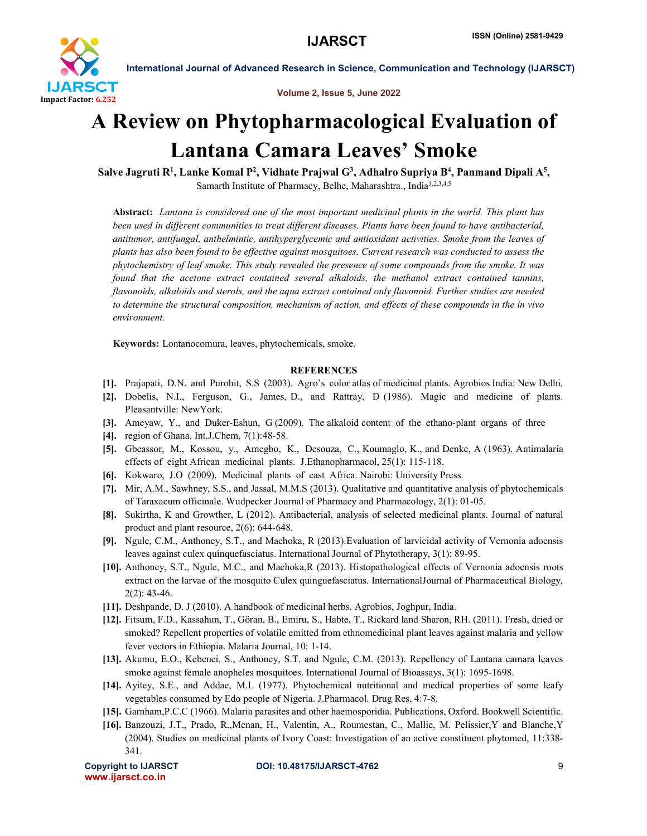

International Journal of Advanced Research in Science, Communication and Technology (IJARSCT)

Volume 2, Issue 5, June 2022

## A Review on Phytopharmacological Evaluation of Lantana Camara Leaves' Smoke

Salve Jagruti R<sup>1</sup>, Lanke Komal P<sup>2</sup>, Vidhate Prajwal G<sup>3</sup>, Adhalro Supriya B<sup>4</sup>, Panmand Dipali A<sup>5</sup>, Samarth Institute of Pharmacy, Belhe, Maharashtra., India<sup>1,2,3,4,5</sup>

Abstract: *Lantana is considered one of the most important medicinal plants in the world. This plant has been used in different communities to treat different diseases. Plants have been found to have antibacterial, antitumor, antifungal, anthelmintic, antihyperglycemic and antioxidant activities. Smoke from the leaves of plants has also been found to be effective against mosquitoes. Current research was conducted to assess the phytochemistry of leaf smoke. This study revealed the presence of some compounds from the smoke. It was*  found that the acetone extract contained several alkaloids, the methanol extract contained tannins, *flavonoids, alkaloids and sterols, and the aqua extract contained only flavonoid. Further studies are needed to determine the structural composition, mechanism of action, and effects of these compounds in the in vivo environment.*

Keywords: Lontanocomura, leaves, phytochemicals, smoke.

## **REFERENCES**

- [1]. Prajapati, D.N. and Purohit, S.S (2003). Agro's color atlas of medicinal plants. Agrobios India: New Delhi.
- [2]. Dobelis, N.I., Ferguson, G., James, D., and Rattray, D (1986). Magic and medicine of plants. Pleasantville: NewYork.
- [3]. Ameyaw, Y., and Duker-Eshun, G (2009). The alkaloid content of the ethano-plant organs of three
- [4]. region of Ghana. Int.J.Chem, 7(1):48-58.
- [5]. Gbeassor, M., Kossou, y., Amegbo, K., Desouza, C., Koumaglo, K., and Denke, A (1963). Antimalaria effects of eight African medicinal plants. J.Ethanopharmacol, 25(1): 115-118.
- [6]. Kokwaro, J.O (2009). Medicinal plants of east Africa. Nairobi: University Press.
- [7]. Mir, A.M., Sawhney, S.S., and Jassal, M.M.S (2013). Qualitative and quantitative analysis of phytochemicals of Taraxacum officinale. Wudpecker Journal of Pharmacy and Pharmacology, 2(1): 01-05.
- [8]. Sukirtha, K and Growther, L (2012). Antibacterial, analysis of selected medicinal plants. Journal of natural product and plant resource, 2(6): 644-648.
- [9]. Ngule, C.M., Anthoney, S.T., and Machoka, R (2013).Evaluation of larvicidal activity of Vernonia adoensis leaves against culex quinquefasciatus. International Journal of Phytotherapy, 3(1): 89-95.
- [10]. Anthoney, S.T., Ngule, M.C., and Machoka,R (2013). Histopathological effects of Vernonia adoensis roots extract on the larvae of the mosquito Culex quinguefasciatus. InternationalJournal of Pharmaceutical Biology, 2(2): 43-46.
- [11]. Deshpande, D. J (2010). A handbook of medicinal herbs. Agrobios, Joghpur, India.
- [12]. Fitsum, F.D., Kassahun, T., Göran, B., Emiru, S., Habte, T., Rickard land Sharon, RH. (2011). Fresh, dried or smoked? Repellent properties of volatile emitted from ethnomedicinal plant leaves against malaria and yellow fever vectors in Ethiopia. Malaria Journal, 10: 1-14.
- [13]. Akumu, E.O., Kebenei, S., Anthoney, S.T. and Ngule, C.M. (2013). Repellency of Lantana camara leaves smoke against female anopheles mosquitoes. International Journal of Bioassays, 3(1): 1695-1698.
- [14]. Ayitey, S.E., and Addae, M.L (1977). Phytochemical nutritional and medical properties of some leafy vegetables consumed by Edo people of Nigeria. J.Pharmacol. Drug Res, 4:7-8.
- [15]. Garnham,P.C.C (1966). Malaria parasites and other haemosporidia. Publications, Oxford. Bookwell Scientific.
- [16]. Banzouzi, J.T., Prado, R.,Menan, H., Valentin, A., Roumestan, C., Mallie, M. Pelissier,Y and Blanche,Y (2004). Studies on medicinal plants of Ivory Coast: Investigation of an active constituent phytomed, 11:338- 341.

www.ijarsct.co.in